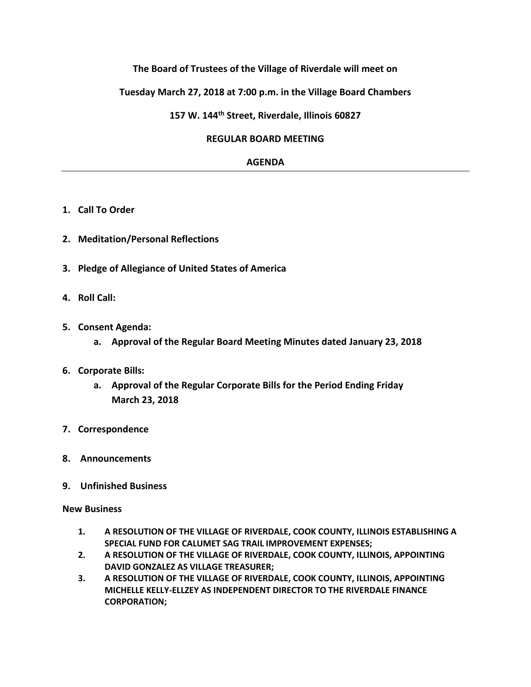## **The Board of Trustees of the Village of Riverdale will meet on**

### **Tuesday March 27, 2018 at 7:00 p.m. in the Village Board Chambers**

**157 W. 144th Street, Riverdale, Illinois 60827**

#### **REGULAR BOARD MEETING**

### **AGENDA**

- **1. Call To Order**
- **2. Meditation/Personal Reflections**
- **3. Pledge of Allegiance of United States of America**
- **4. Roll Call:**
- **5. Consent Agenda:**
	- **a. Approval of the Regular Board Meeting Minutes dated January 23, 2018**
- **6. Corporate Bills:**
	- **a. Approval of the Regular Corporate Bills for the Period Ending Friday March 23, 2018**
- **7. Correspondence**
- **8. Announcements**
- **9. Unfinished Business**

#### **New Business**

- **1. A RESOLUTION OF THE VILLAGE OF RIVERDALE, COOK COUNTY, ILLINOIS ESTABLISHING A SPECIAL FUND FOR CALUMET SAG TRAIL IMPROVEMENT EXPENSES;**
- **2. A RESOLUTION OF THE VILLAGE OF RIVERDALE, COOK COUNTY, ILLINOIS, APPOINTING DAVID GONZALEZ AS VILLAGE TREASURER;**
- **3. A RESOLUTION OF THE VILLAGE OF RIVERDALE, COOK COUNTY, ILLINOIS, APPOINTING MICHELLE KELLY-ELLZEY AS INDEPENDENT DIRECTOR TO THE RIVERDALE FINANCE CORPORATION;**